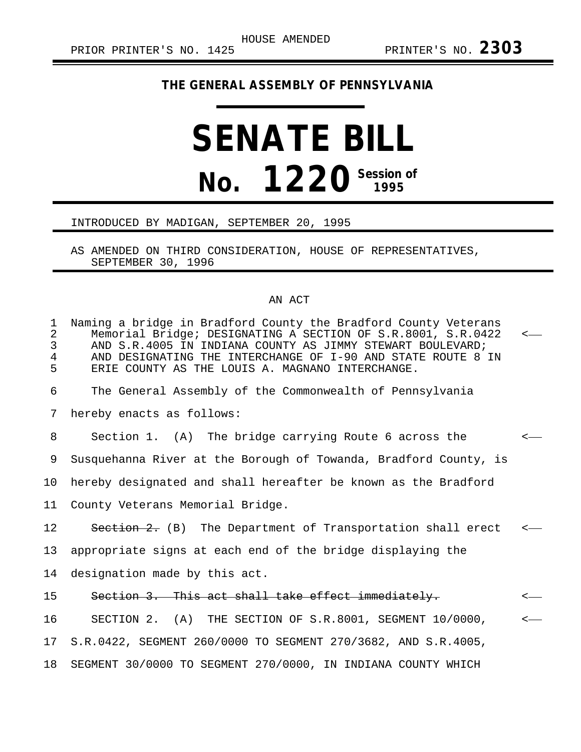## **THE GENERAL ASSEMBLY OF PENNSYLVANIA**

## **SENATE BILL No. 1220 Session of**

## INTRODUCED BY MADIGAN, SEPTEMBER 20, 1995

AS AMENDED ON THIRD CONSIDERATION, HOUSE OF REPRESENTATIVES, SEPTEMBER 30, 1996

## AN ACT

| $\mathbf 1$<br>$\overline{2}$<br>3<br>$\overline{4}$<br>5 | Naming a bridge in Bradford County the Bradford County Veterans<br>Memorial Bridge; DESIGNATING A SECTION OF S.R.8001, S.R.0422<br>AND S.R.4005 IN INDIANA COUNTY AS JIMMY STEWART BOULEVARD;<br>AND DESIGNATING THE INTERCHANGE OF I-90 AND STATE ROUTE 8 IN<br>ERIE COUNTY AS THE LOUIS A. MAGNANO INTERCHANGE. |  |
|-----------------------------------------------------------|-------------------------------------------------------------------------------------------------------------------------------------------------------------------------------------------------------------------------------------------------------------------------------------------------------------------|--|
| 6                                                         | The General Assembly of the Commonwealth of Pennsylvania                                                                                                                                                                                                                                                          |  |
| 7                                                         | hereby enacts as follows:                                                                                                                                                                                                                                                                                         |  |
| 8                                                         | Section 1. (A) The bridge carrying Route 6 across the                                                                                                                                                                                                                                                             |  |
| 9                                                         | Susquehanna River at the Borough of Towanda, Bradford County, is                                                                                                                                                                                                                                                  |  |
| 10                                                        | hereby designated and shall hereafter be known as the Bradford                                                                                                                                                                                                                                                    |  |
| 11                                                        | County Veterans Memorial Bridge.                                                                                                                                                                                                                                                                                  |  |
| 12                                                        | Section 2. (B) The Department of Transportation shall erect                                                                                                                                                                                                                                                       |  |
| 13                                                        | appropriate signs at each end of the bridge displaying the                                                                                                                                                                                                                                                        |  |
| 14                                                        | designation made by this act.                                                                                                                                                                                                                                                                                     |  |
| 15                                                        | Section 3. This act shall take effect immediately.                                                                                                                                                                                                                                                                |  |
| 16                                                        | SECTION 2. (A) THE SECTION OF S.R.8001, SEGMENT 10/0000,                                                                                                                                                                                                                                                          |  |
| 17                                                        | S.R.0422, SEGMENT 260/0000 TO SEGMENT 270/3682, AND S.R.4005,                                                                                                                                                                                                                                                     |  |
| 18                                                        | SEGMENT 30/0000 TO SEGMENT 270/0000, IN INDIANA COUNTY WHICH                                                                                                                                                                                                                                                      |  |
|                                                           |                                                                                                                                                                                                                                                                                                                   |  |